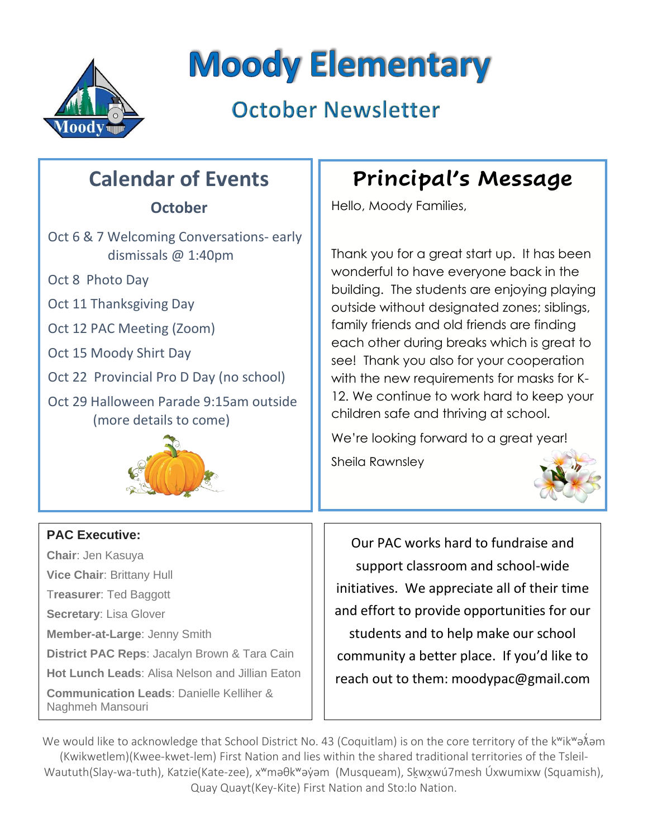

# **Moody Elementary**

## **October Newsletter**

## **Calendar of Events**

## **October**

- Oct 6 & 7 Welcoming Conversations- early dismissals @ 1:40pm
- Oct 8 Photo Day
- Oct 11 Thanksgiving Day
- Oct 12 PAC Meeting (Zoom)
- Oct 15 Moody Shirt Day
- Oct 22 Provincial Pro D Day (no school)
- Oct 29 Halloween Parade 9:15am outside (more details to come)



## **PAC Executive:**

**Chair**: Jen Kasuya **Vice Chair**: Brittany Hull T**reasurer**: Ted Baggott **Secretary**: Lisa Glover **Member-at-Large**: Jenny Smith **District PAC Reps**: Jacalyn Brown & Tara Cain **Hot Lunch Leads**: Alisa Nelson and Jillian Eaton **Communication Leads**: Danielle Kelliher & Naghmeh Mansouri

## **Principal's Message**

Hello, Moody Families,

Thank you for a great start up. It has been wonderful to have everyone back in the building. The students are enjoying playing outside without designated zones; siblings, family friends and old friends are finding each other during breaks which is great to see! Thank you also for your cooperation with the new requirements for masks for K-12. We continue to work hard to keep your children safe and thriving at school.

We're looking forward to a great year!

Sheila Rawnsley



Our PAC works hard to fundraise and support classroom and school-wide initiatives. We appreciate all of their time and effort to provide opportunities for our students and to help make our school community a better place. If you'd like to reach out to them: moodypac@gmail.com

We would like to acknowledge that School District No. 43 (Coquitlam) is on the core territory of the kʷikʷəẮəm (Kwikwetlem)(Kwee-kwet-lem) First Nation and lies within the shared traditional territories of the Tsleil-Waututh(Slay-wa-tuth), Katzie(Kate-zee), x<sup>w</sup>məθk<sup>w</sup>əýəm (Musqueam), Skwxwú7mesh Úxwumixw (Squamish), Quay Quayt(Key-Kite) First Nation and Sto:lo Nation.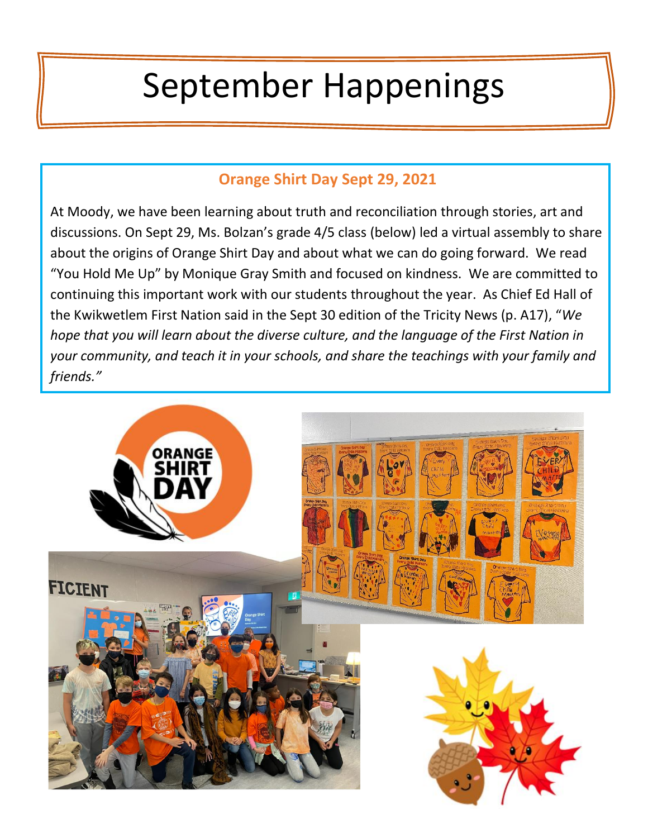# September Happenings

## **Orange Shirt Day Sept 29, 2021**

At Moody, we have been learning about truth and reconciliation through stories, art and discussions. On Sept 29, Ms. Bolzan's grade 4/5 class (below) led a virtual assembly to share about the origins of Orange Shirt Day and about what we can do going forward. We read "You Hold Me Up" by Monique Gray Smith and focused on kindness. We are committed to continuing this important work with our students throughout the year. As Chief Ed Hall of the Kwikwetlem First Nation said in the Sept 30 edition of the Tricity News (p. A17), "*We hope that you will learn about the diverse culture, and the language of the First Nation in your community, and teach it in your schools, and share the teachings with your family and friends."*

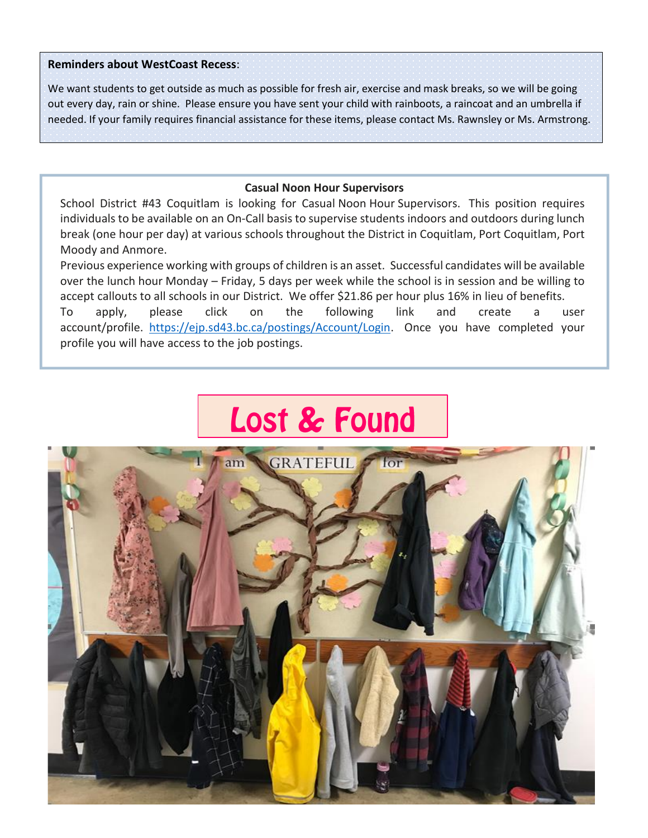#### **Reminders about WestCoast Recess**:

We want students to get outside as much as possible for fresh air, exercise and mask breaks, so we will be going out every day, rain or shine. Please ensure you have sent your child with rainboots, a raincoat and an umbrella if needed. If your family requires financial assistance for these items, please contact Ms. Rawnsley or Ms. Armstrong.

## **Casual Noon Hour Supervisors**

School District #43 Coquitlam is looking for Casual Noon Hour Supervisors. This position requires individuals to be available on an On-Call basis to supervise students indoors and outdoors during lunch break (one hour per day) at various schools throughout the District in Coquitlam, Port Coquitlam, Port Moody and Anmore.

Previous experience working with groups of children is an asset. Successful candidates will be available over the lunch hour Monday – Friday, 5 days per week while the school is in session and be willing to accept callouts to all schools in our District. We offer \$21.86 per hour plus 16% in lieu of benefits. To apply, please click on the following link and create a user account/profile. [https://ejp.sd43.bc.ca/postings/Account/Login.](https://ejp.sd43.bc.ca/postings/Account/Login) Once you have completed your profile you will have access to the job postings.

## **Lost & Found**

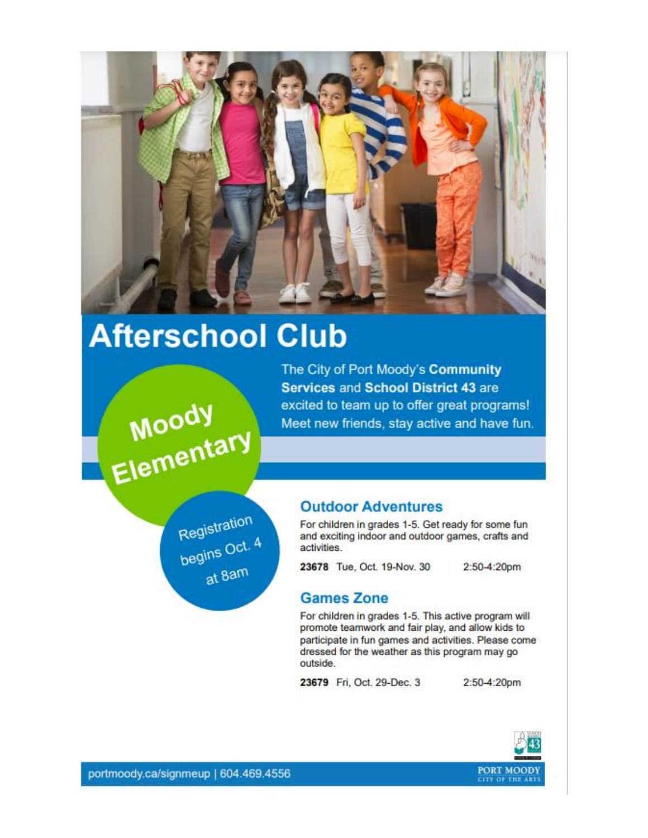

## **Afterschool Club**

The City of Port Moody's Community **Services and School District 43 are** excited to team up to offer great programs! Meet new friends, stay active and have fun.

Registration<br>begins Oct. 4 at 8am

Moody<br>Elementary

## **Outdoor Adventures**

For children in grades 1-5. Get ready for some fun and exciting indoor and outdoor games, crafts and activities.

23678 Tue, Oct. 19-Nov. 30

2:50-4:20pm

## **Games Zone**

For children in grades 1-5. This active program will promote teamwork and fair play, and allow kids to participate in fun games and activities. Please come dressed for the weather as this program may go outside.

23679 Fri, Oct. 29-Dec. 3

2:50-4:20pm